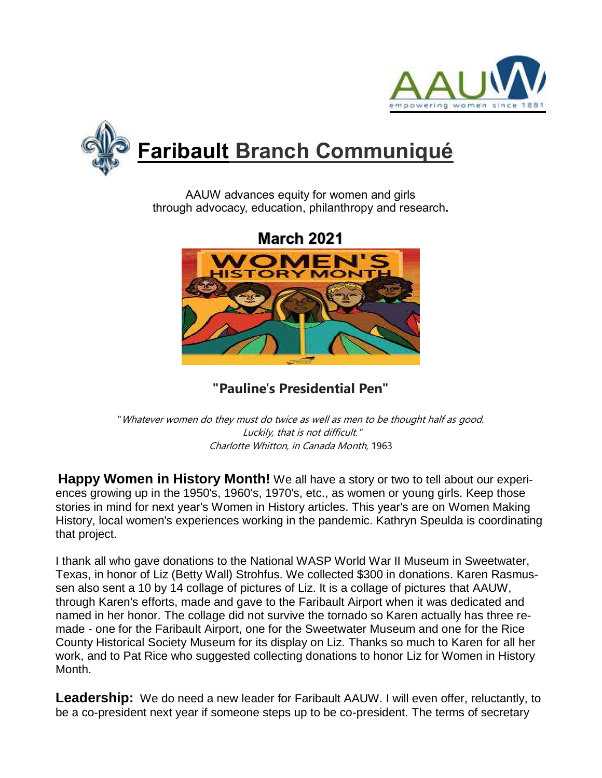



AAUW advances equity for women and girls through advocacy, education, philanthropy and research**.**



**"Pauline's Presidential Pen"**

"Whatever women do they must do twice as well as men to be thought half as good. Luckily, that is not difficult." Charlotte Whitton, in Canada Month, 1963

**Happy Women in History Month!** We all have a story or two to tell about our experiences growing up in the 1950's, 1960's, 1970's, etc., as women or young girls. Keep those stories in mind for next year's Women in History articles. This year's are on Women Making History, local women's experiences working in the pandemic. Kathryn Speulda is coordinating that project.

I thank all who gave donations to the National WASP World War II Museum in Sweetwater, Texas, in honor of Liz (Betty Wall) Strohfus. We collected \$300 in donations. Karen Rasmussen also sent a 10 by 14 collage of pictures of Liz. It is a collage of pictures that AAUW, through Karen's efforts, made and gave to the Faribault Airport when it was dedicated and named in her honor. The collage did not survive the tornado so Karen actually has three remade - one for the Faribault Airport, one for the Sweetwater Museum and one for the Rice County Historical Society Museum for its display on Liz. Thanks so much to Karen for all her work, and to Pat Rice who suggested collecting donations to honor Liz for Women in History Month.

**Leadership:** We do need a new leader for Faribault AAUW. I will even offer, reluctantly, to be a co-president next year if someone steps up to be co-president. The terms of secretary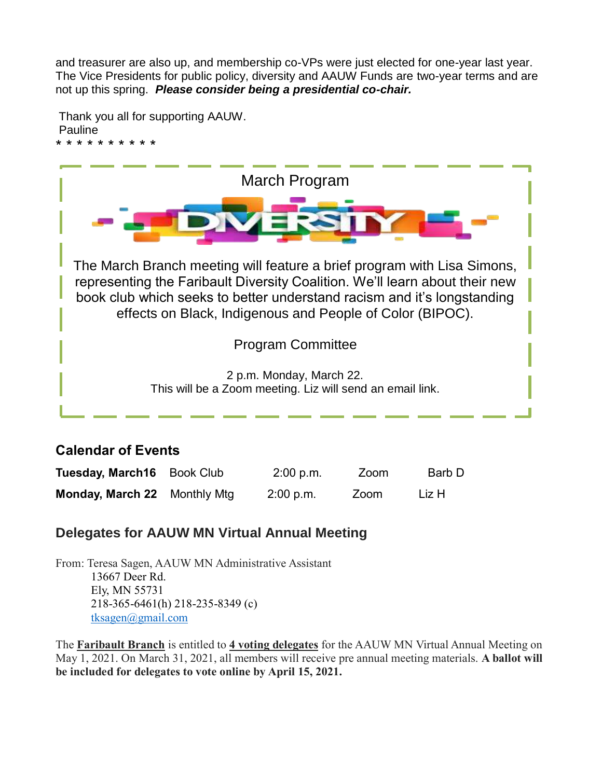and treasurer are also up, and membership co-VPs were just elected for one-year last year. The Vice Presidents for public policy, diversity and AAUW Funds are two-year terms and are not up this spring. *Please consider being a presidential co-chair.*

Thank you all for supporting AAUW. Pauline



### **Calendar of Events**

| Tuesday, March16 Book Club          | 2:00 p.m. | Zoom | Barb D |
|-------------------------------------|-----------|------|--------|
| <b>Monday, March 22</b> Monthly Mtg | 2:00 p.m. | Zoom | Liz H  |

## **Delegates for AAUW MN Virtual Annual Meeting**

From: Teresa Sagen, AAUW MN Administrative Assistant 13667 Deer Rd. Ely, MN 55731 218-365-6461(h) 218-235-8349 (c) [tksagen@gmail.com](mailto:tksagen@gmail.com)

The **Faribault Branch** is entitled to **4 voting delegates** for the AAUW MN Virtual Annual Meeting on May 1, 2021. On March 31, 2021, all members will receive pre annual meeting materials. **A ballot will be included for delegates to vote online by April 15, 2021.**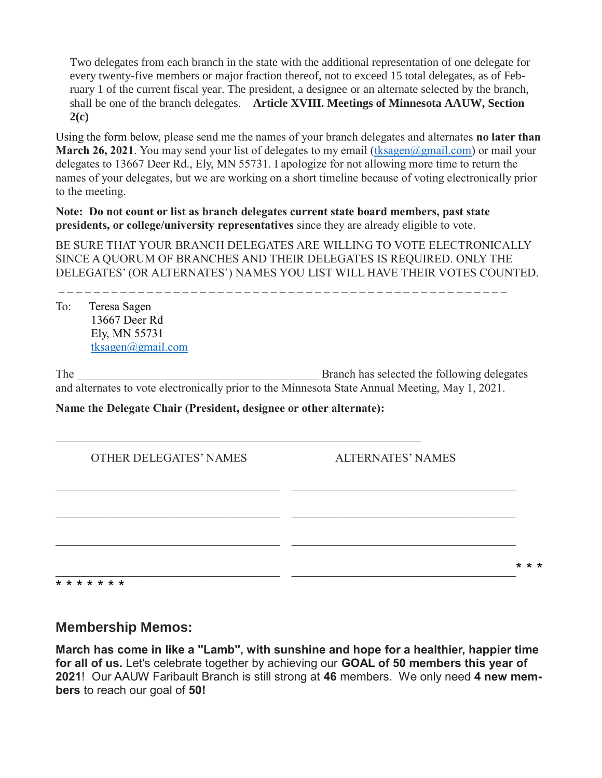Two delegates from each branch in the state with the additional representation of one delegate for every twenty-five members or major fraction thereof, not to exceed 15 total delegates, as of February 1 of the current fiscal year. The president, a designee or an alternate selected by the branch, shall be one of the branch delegates. – **Article XVIII. Meetings of Minnesota AAUW, Section 2(c)**

Using the form below, please send me the names of your branch delegates and alternates **no later than March 26, 2021**. You may send your list of delegates to my email (tksagen $\omega$ gmail.com) or mail your delegates to 13667 Deer Rd., Ely, MN 55731. I apologize for not allowing more time to return the names of your delegates, but we are working on a short timeline because of voting electronically prior to the meeting.

**Note: Do not count or list as branch delegates current state board members, past state presidents, or college/university representatives** since they are already eligible to vote.

BE SURE THAT YOUR BRANCH DELEGATES ARE WILLING TO VOTE ELECTRONICALLY SINCE A QUORUM OF BRANCHES AND THEIR DELEGATES IS REQUIRED. ONLY THE DELEGATES' (OR ALTERNATES') NAMES YOU LIST WILL HAVE THEIR VOTES COUNTED.

To: Teresa Sagen 13667 Deer Rd Ely, MN 55731 [tksagen@gmail.com](mailto:tksagen@gmail.com) 

The the state of the state of the Branch has selected the following delegates the state of the following delegates and alternates to vote electronically prior to the Minnesota State Annual Meeting, May 1, 2021.

**Name the Delegate Chair (President, designee or other alternate):**

| <b>OTHER DELEGATES' NAMES</b> | <b>ALTERNATES' NAMES</b> |  |  |
|-------------------------------|--------------------------|--|--|
|                               |                          |  |  |
|                               |                          |  |  |
|                               | * * *                    |  |  |
| * * * * * * *                 |                          |  |  |

### **Membership Memos:**

**March has come in like a "Lamb", with sunshine and hope for a healthier, happier time for all of us.** Let's celebrate together by achieving our **GOAL of 50 members this year of 2021**! Our AAUW Faribault Branch is still strong at **46** members. We only need **4 new members** to reach our goal of **50!**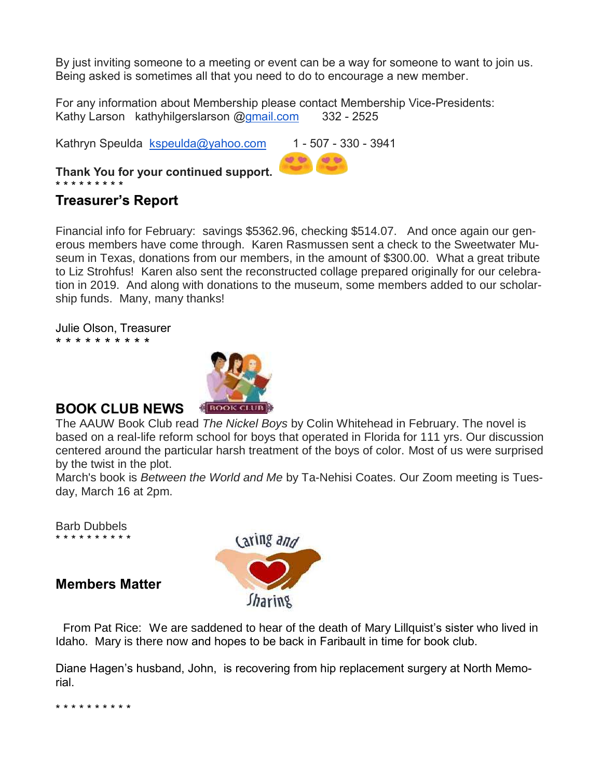By just inviting someone to a meeting or event can be a way for someone to want to join us. Being asked is sometimes all that you need to do to encourage a new member.

For any information about Membership please contact Membership Vice-Presidents: Kathy Larson kathyhilgerslarson [@gmail.com](http://gmail.com/) 332 - 2525

Kathryn Speulda  $\text{kspeulda@yahoo.com}$  $\text{kspeulda@yahoo.com}$  $\text{kspeulda@yahoo.com}$  1 - 507 - 330 - 3941

**Thank You for your continued support.**  \* \* \* \* \* \* \* \* \*

# **Treasurer's Report**

Financial info for February: savings \$5362.96, checking \$514.07. And once again our generous members have come through. Karen Rasmussen sent a check to the Sweetwater Museum in Texas, donations from our members, in the amount of \$300.00. What a great tribute to Liz Strohfus! Karen also sent the reconstructed collage prepared originally for our celebration in 2019. And along with donations to the museum, some members added to our scholarship funds. Many, many thanks!

Julie Olson, Treasurer \* \* \* \* \* \* \* \* \* \*



#### **BOOK CLUB NEWS**

The AAUW Book Club read *The Nickel Boys* by Colin Whitehead in February. The novel is based on a real-life reform school for boys that operated in Florida for 111 yrs. Our discussion centered around the particular harsh treatment of the boys of color. Most of us were surprised by the twist in the plot.

March's book is *Between the World and Me* by Ta-Nehisi Coates. Our Zoom meeting is Tuesday, March 16 at 2pm.

Barb Dubbels \* \* \* \* \* \* \* \* \* \*

**Members Matter**



 From Pat Rice:We are saddened to hear of the death of Mary Lillquist's sister who lived in Idaho. Mary is there now and hopes to be back in Faribault in time for book club.

Diane Hagen's husband, John, is recovering from hip replacement surgery at North Memorial.

\* \* \* \* \* \* \* \* \* \*